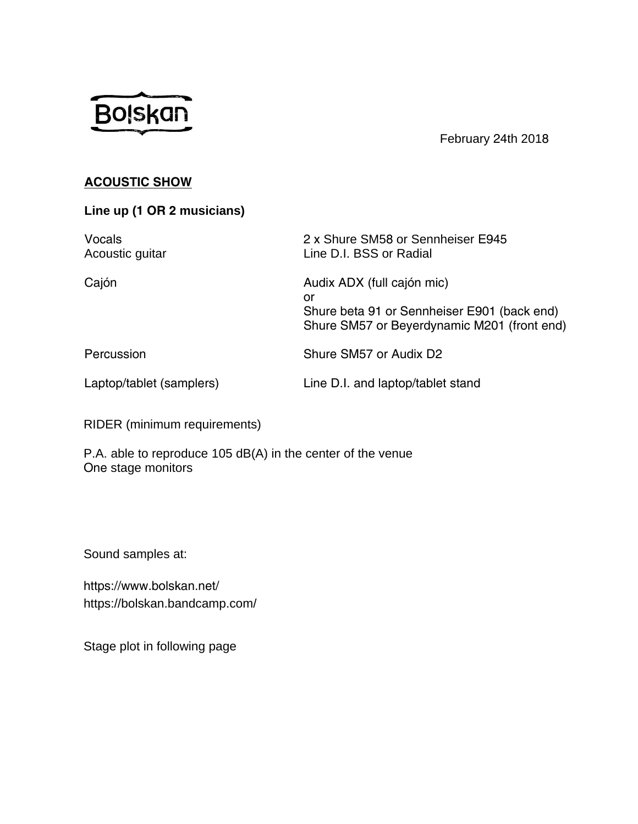## **Bolskan**

February th 201

**886,62:** 

**Line up (2musicians)** 

| в<br>Acoustic guitar | <b>Shure SM5 or Sennheiser</b><br>Line D.I. BSS or Radial |  |
|----------------------|-----------------------------------------------------------|--|
| <b>BMÖ</b>           | <b>SSLISOOFDMÖLF</b><br>RU                                |  |

+DQ3HXVLRQ

K**BIRSOL[** 

/DSRASDEOWDPSOM

/LEDQODSRASDLEOWNDQ

KKY ERW RKGHVHU EDFRA KBARBUSDPLF 0IBL60

RIDER (minimum requirements)

P.A. able to reproduce 105 dB(A) in the center of the venue 2**Q**tage monitors

Sound samples at:

https://www.bolskan.net/ https://bolskan.bandcamp.com/

\*Mics listed above are suggested models that work best for the set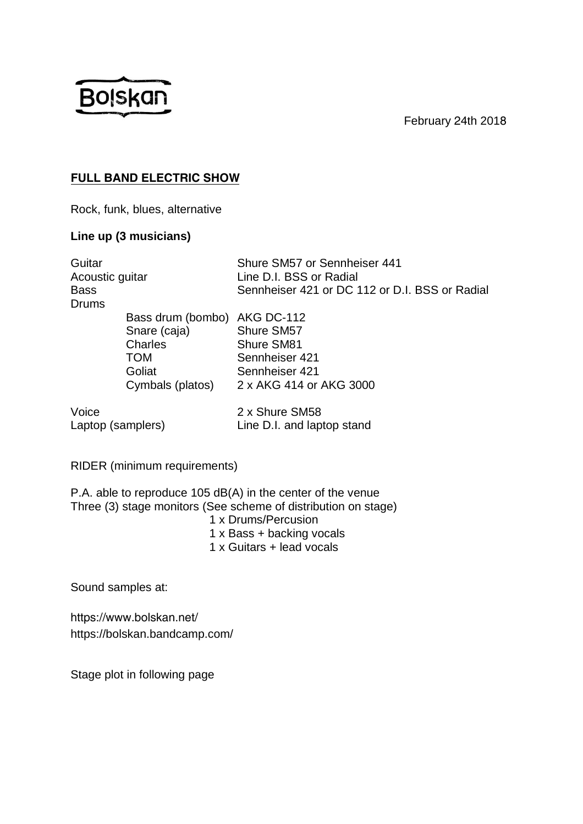February 24th 2018



## **FULL BAND ELECTRIC SHOW**

Rock, funk, blues, alternative

## **Line up (3 musicians)**

| Guitar<br>Acoustic guitar  |                                                                                                     | Shure SM57 or Sennheiser 441<br>Line D.I. BSS or Radial                                 |
|----------------------------|-----------------------------------------------------------------------------------------------------|-----------------------------------------------------------------------------------------|
| <b>Bass</b><br>Drums       |                                                                                                     | Sennheiser 421 or DC 112 or D.I. BSS or Radial                                          |
|                            | Bass drum (bombo) AKG DC-112<br>Snare (caja)<br>Charles<br><b>TOM</b><br>Goliat<br>Cymbals (platos) | Shure SM57<br>Shure SM81<br>Sennheiser 421<br>Sennheiser 421<br>2 x AKG 414 or AKG 3000 |
| Voice<br>Laptop (samplers) |                                                                                                     | 2 x Shure SM58<br>Line D.I. and laptop stand                                            |

RIDER (minimum requirements)

P.A. able to reproduce 105 dB(A) in the center of the venue Three (3) stage monitors (See scheme of distribution on stage) 1 x Drums/Percusion

- 1 x Bass + backing vocals
- 1 x Guitars + lead vocals

Sound samples at:

https://www.bolskan.net/ https://bolskan.bandcamp.com/

\*Mics listed above are suggested models that work best for the set

Stage plot in following page